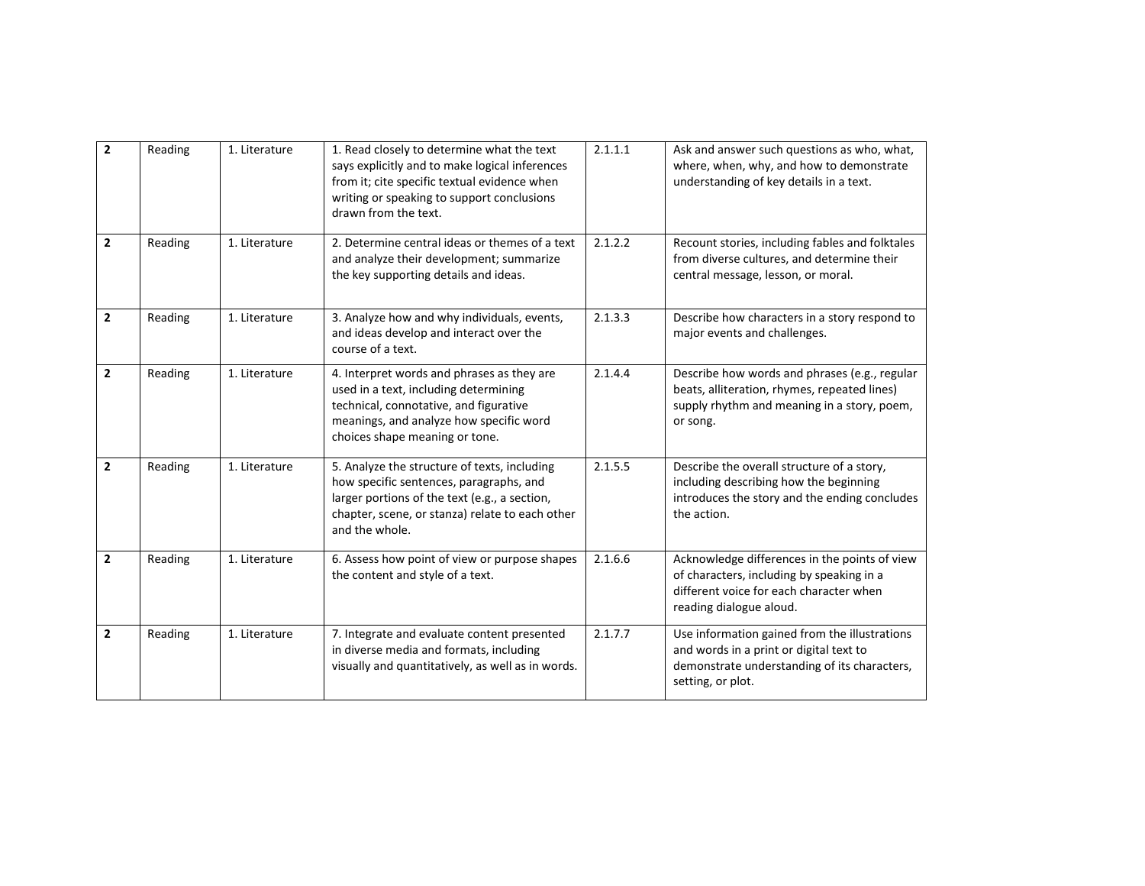| $\overline{2}$ | Reading | 1. Literature | 1. Read closely to determine what the text<br>says explicitly and to make logical inferences<br>from it; cite specific textual evidence when<br>writing or speaking to support conclusions<br>drawn from the text. | 2.1.1.1 | Ask and answer such questions as who, what,<br>where, when, why, and how to demonstrate<br>understanding of key details in a text.                               |
|----------------|---------|---------------|--------------------------------------------------------------------------------------------------------------------------------------------------------------------------------------------------------------------|---------|------------------------------------------------------------------------------------------------------------------------------------------------------------------|
| $\overline{2}$ | Reading | 1. Literature | 2. Determine central ideas or themes of a text<br>and analyze their development; summarize<br>the key supporting details and ideas.                                                                                | 2.1.2.2 | Recount stories, including fables and folktales<br>from diverse cultures, and determine their<br>central message, lesson, or moral.                              |
| $\overline{2}$ | Reading | 1. Literature | 3. Analyze how and why individuals, events,<br>and ideas develop and interact over the<br>course of a text.                                                                                                        | 2.1.3.3 | Describe how characters in a story respond to<br>major events and challenges.                                                                                    |
| $\overline{2}$ | Reading | 1. Literature | 4. Interpret words and phrases as they are<br>used in a text, including determining<br>technical, connotative, and figurative<br>meanings, and analyze how specific word<br>choices shape meaning or tone.         | 2.1.4.4 | Describe how words and phrases (e.g., regular<br>beats, alliteration, rhymes, repeated lines)<br>supply rhythm and meaning in a story, poem,<br>or song.         |
| $\overline{2}$ | Reading | 1. Literature | 5. Analyze the structure of texts, including<br>how specific sentences, paragraphs, and<br>larger portions of the text (e.g., a section,<br>chapter, scene, or stanza) relate to each other<br>and the whole.      | 2.1.5.5 | Describe the overall structure of a story,<br>including describing how the beginning<br>introduces the story and the ending concludes<br>the action.             |
| $\overline{2}$ | Reading | 1. Literature | 6. Assess how point of view or purpose shapes<br>the content and style of a text.                                                                                                                                  | 2.1.6.6 | Acknowledge differences in the points of view<br>of characters, including by speaking in a<br>different voice for each character when<br>reading dialogue aloud. |
| $\overline{2}$ | Reading | 1. Literature | 7. Integrate and evaluate content presented<br>in diverse media and formats, including<br>visually and quantitatively, as well as in words.                                                                        | 2.1.7.7 | Use information gained from the illustrations<br>and words in a print or digital text to<br>demonstrate understanding of its characters,<br>setting, or plot.    |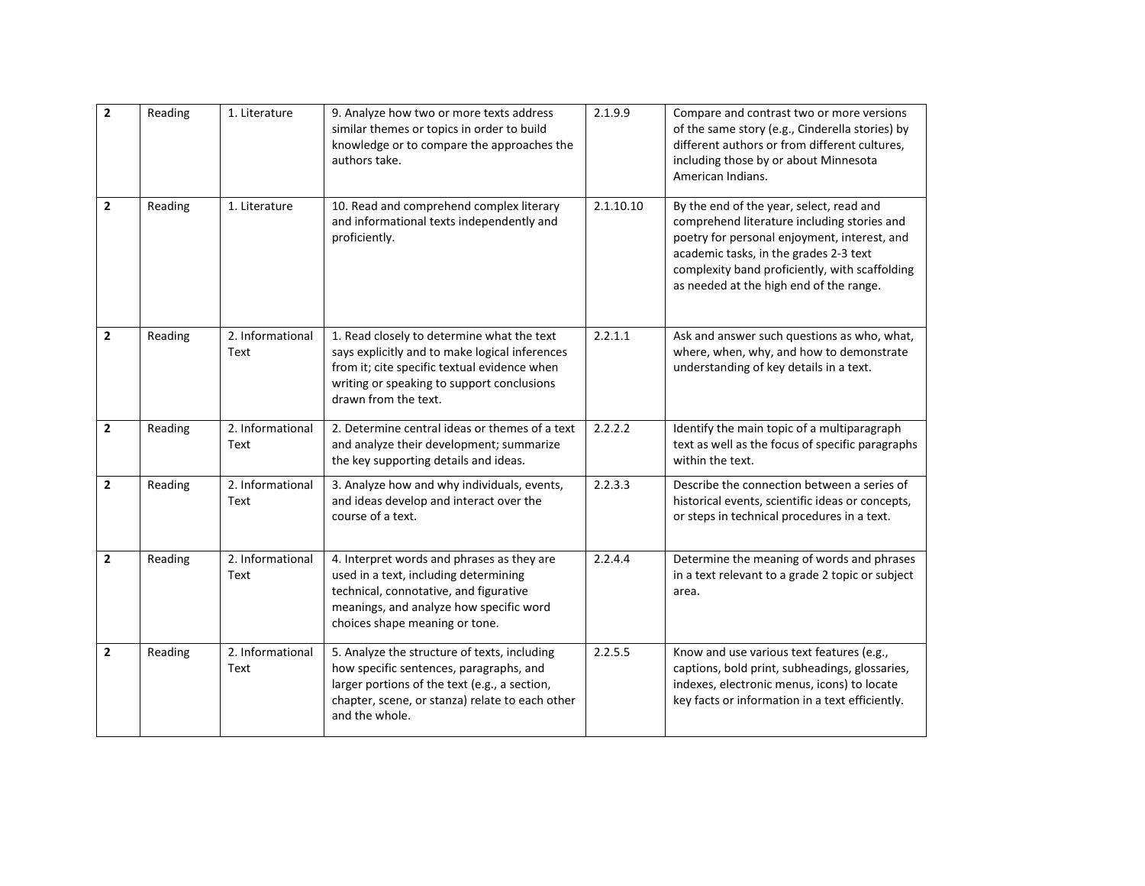| $\mathbf{2}$   | Reading | 1. Literature            | 9. Analyze how two or more texts address<br>similar themes or topics in order to build<br>knowledge or to compare the approaches the<br>authors take.                                                              | 2.1.9.9   | Compare and contrast two or more versions<br>of the same story (e.g., Cinderella stories) by<br>different authors or from different cultures,<br>including those by or about Minnesota<br>American Indians.                                                                    |
|----------------|---------|--------------------------|--------------------------------------------------------------------------------------------------------------------------------------------------------------------------------------------------------------------|-----------|--------------------------------------------------------------------------------------------------------------------------------------------------------------------------------------------------------------------------------------------------------------------------------|
| $\mathbf{2}$   | Reading | 1. Literature            | 10. Read and comprehend complex literary<br>and informational texts independently and<br>proficiently.                                                                                                             | 2.1.10.10 | By the end of the year, select, read and<br>comprehend literature including stories and<br>poetry for personal enjoyment, interest, and<br>academic tasks, in the grades 2-3 text<br>complexity band proficiently, with scaffolding<br>as needed at the high end of the range. |
| $\overline{2}$ | Reading | 2. Informational<br>Text | 1. Read closely to determine what the text<br>says explicitly and to make logical inferences<br>from it; cite specific textual evidence when<br>writing or speaking to support conclusions<br>drawn from the text. | 2.2.1.1   | Ask and answer such questions as who, what,<br>where, when, why, and how to demonstrate<br>understanding of key details in a text.                                                                                                                                             |
| $\mathbf{2}$   | Reading | 2. Informational<br>Text | 2. Determine central ideas or themes of a text<br>and analyze their development; summarize<br>the key supporting details and ideas.                                                                                | 2.2.2.2   | Identify the main topic of a multiparagraph<br>text as well as the focus of specific paragraphs<br>within the text.                                                                                                                                                            |
| $\mathbf{2}$   | Reading | 2. Informational<br>Text | 3. Analyze how and why individuals, events,<br>and ideas develop and interact over the<br>course of a text.                                                                                                        | 2.2.3.3   | Describe the connection between a series of<br>historical events, scientific ideas or concepts,<br>or steps in technical procedures in a text.                                                                                                                                 |
| $\overline{2}$ | Reading | 2. Informational<br>Text | 4. Interpret words and phrases as they are<br>used in a text, including determining<br>technical, connotative, and figurative<br>meanings, and analyze how specific word<br>choices shape meaning or tone.         | 2.2.4.4   | Determine the meaning of words and phrases<br>in a text relevant to a grade 2 topic or subject<br>area.                                                                                                                                                                        |
| $\overline{2}$ | Reading | 2. Informational<br>Text | 5. Analyze the structure of texts, including<br>how specific sentences, paragraphs, and<br>larger portions of the text (e.g., a section,<br>chapter, scene, or stanza) relate to each other<br>and the whole.      | 2.2.5.5   | Know and use various text features (e.g.,<br>captions, bold print, subheadings, glossaries,<br>indexes, electronic menus, icons) to locate<br>key facts or information in a text efficiently.                                                                                  |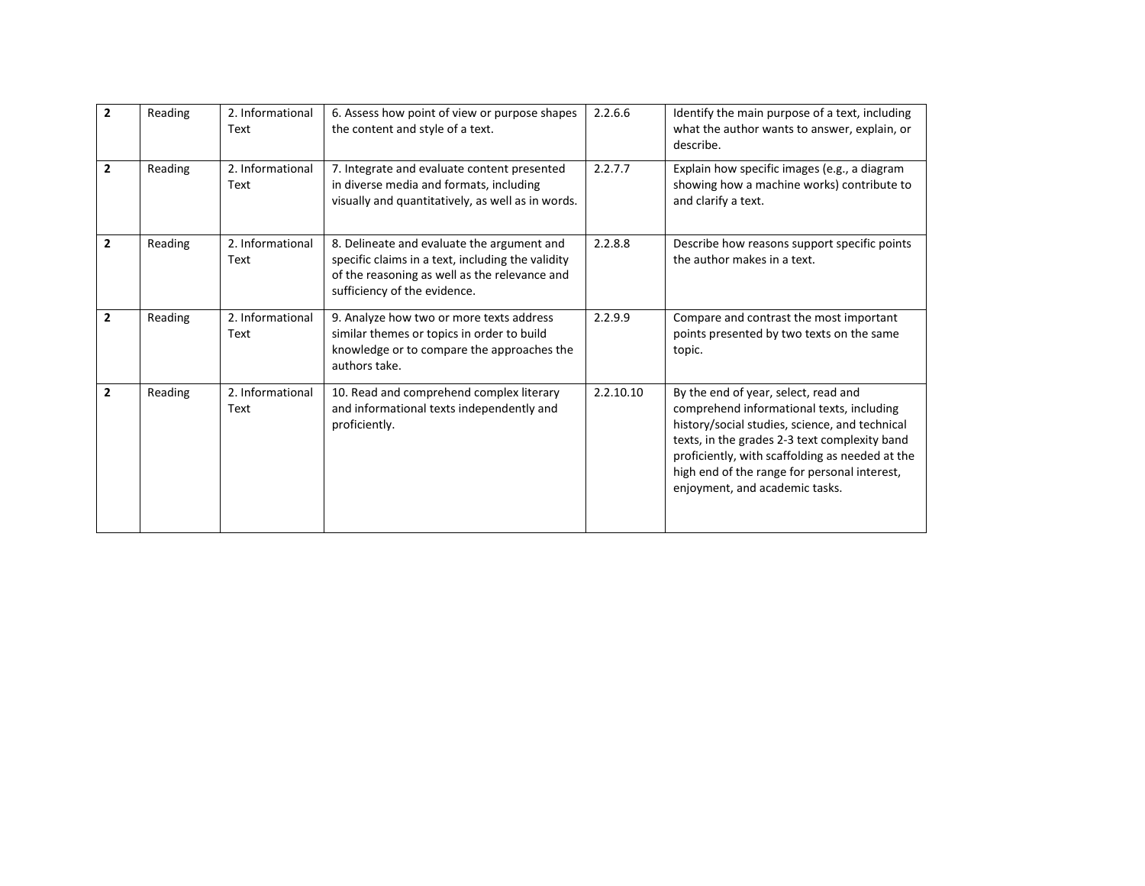| $\overline{2}$ | Reading | 2. Informational<br>Text | 6. Assess how point of view or purpose shapes<br>the content and style of a text.                                                                                                | 2.2.6.6   | Identify the main purpose of a text, including<br>what the author wants to answer, explain, or<br>describe.                                                                                                                                                                                                               |
|----------------|---------|--------------------------|----------------------------------------------------------------------------------------------------------------------------------------------------------------------------------|-----------|---------------------------------------------------------------------------------------------------------------------------------------------------------------------------------------------------------------------------------------------------------------------------------------------------------------------------|
| $\overline{2}$ | Reading | 2. Informational<br>Text | 7. Integrate and evaluate content presented<br>in diverse media and formats, including<br>visually and quantitatively, as well as in words.                                      | 2.2.7.7   | Explain how specific images (e.g., a diagram<br>showing how a machine works) contribute to<br>and clarify a text.                                                                                                                                                                                                         |
| $\overline{2}$ | Reading | 2. Informational<br>Text | 8. Delineate and evaluate the argument and<br>specific claims in a text, including the validity<br>of the reasoning as well as the relevance and<br>sufficiency of the evidence. | 2.2.8.8   | Describe how reasons support specific points<br>the author makes in a text.                                                                                                                                                                                                                                               |
| $\overline{2}$ | Reading | 2. Informational<br>Text | 9. Analyze how two or more texts address<br>similar themes or topics in order to build<br>knowledge or to compare the approaches the<br>authors take.                            | 2.2.9.9   | Compare and contrast the most important<br>points presented by two texts on the same<br>topic.                                                                                                                                                                                                                            |
| $\overline{2}$ | Reading | 2. Informational<br>Text | 10. Read and comprehend complex literary<br>and informational texts independently and<br>proficiently.                                                                           | 2.2.10.10 | By the end of year, select, read and<br>comprehend informational texts, including<br>history/social studies, science, and technical<br>texts, in the grades 2-3 text complexity band<br>proficiently, with scaffolding as needed at the<br>high end of the range for personal interest,<br>enjoyment, and academic tasks. |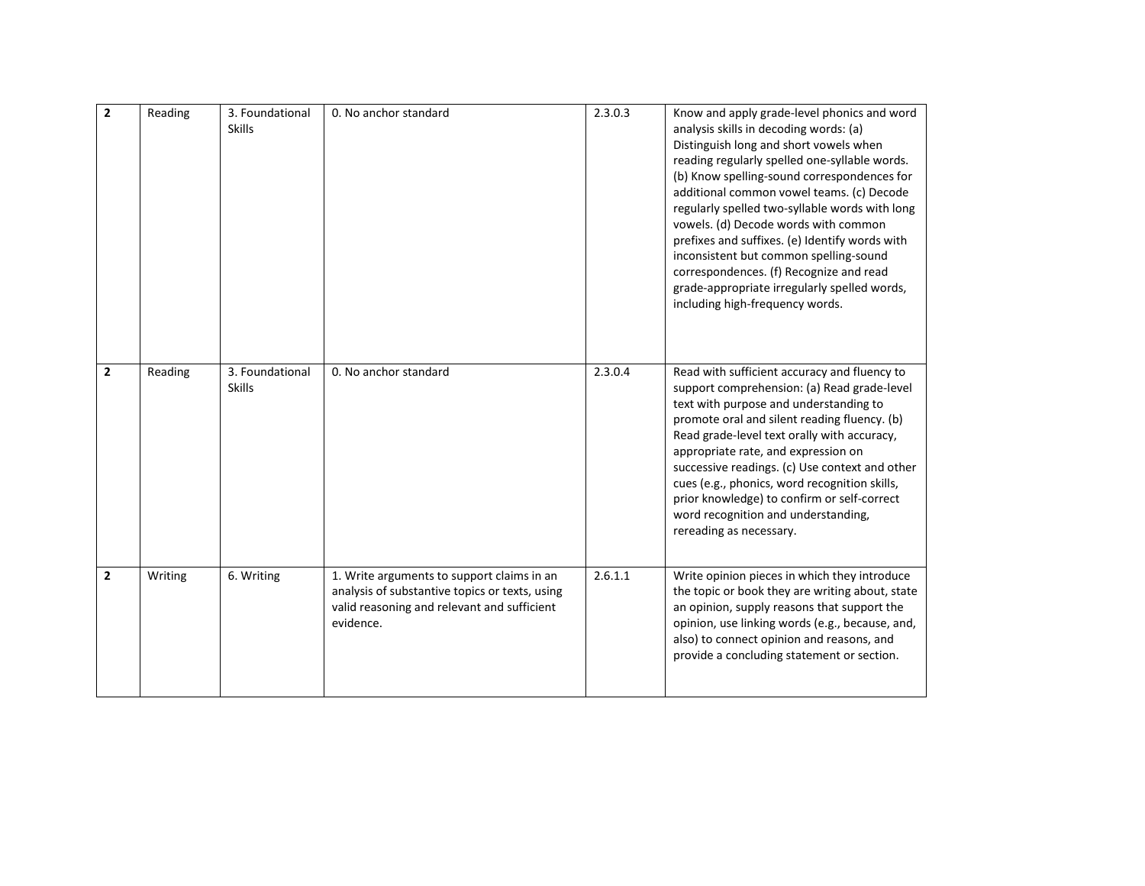| $\overline{\mathbf{c}}$ | Reading | 3. Foundational<br><b>Skills</b> | 0. No anchor standard                                                                                                                                    | 2.3.0.3 | Know and apply grade-level phonics and word<br>analysis skills in decoding words: (a)<br>Distinguish long and short vowels when<br>reading regularly spelled one-syllable words.<br>(b) Know spelling-sound correspondences for<br>additional common vowel teams. (c) Decode<br>regularly spelled two-syllable words with long<br>vowels. (d) Decode words with common<br>prefixes and suffixes. (e) Identify words with<br>inconsistent but common spelling-sound<br>correspondences. (f) Recognize and read<br>grade-appropriate irregularly spelled words,<br>including high-frequency words. |
|-------------------------|---------|----------------------------------|----------------------------------------------------------------------------------------------------------------------------------------------------------|---------|--------------------------------------------------------------------------------------------------------------------------------------------------------------------------------------------------------------------------------------------------------------------------------------------------------------------------------------------------------------------------------------------------------------------------------------------------------------------------------------------------------------------------------------------------------------------------------------------------|
| $\overline{2}$          | Reading | 3. Foundational<br><b>Skills</b> | 0. No anchor standard                                                                                                                                    | 2.3.0.4 | Read with sufficient accuracy and fluency to<br>support comprehension: (a) Read grade-level<br>text with purpose and understanding to<br>promote oral and silent reading fluency. (b)<br>Read grade-level text orally with accuracy,<br>appropriate rate, and expression on<br>successive readings. (c) Use context and other<br>cues (e.g., phonics, word recognition skills,<br>prior knowledge) to confirm or self-correct<br>word recognition and understanding,<br>rereading as necessary.                                                                                                  |
| $\overline{2}$          | Writing | 6. Writing                       | 1. Write arguments to support claims in an<br>analysis of substantive topics or texts, using<br>valid reasoning and relevant and sufficient<br>evidence. | 2.6.1.1 | Write opinion pieces in which they introduce<br>the topic or book they are writing about, state<br>an opinion, supply reasons that support the<br>opinion, use linking words (e.g., because, and,<br>also) to connect opinion and reasons, and<br>provide a concluding statement or section.                                                                                                                                                                                                                                                                                                     |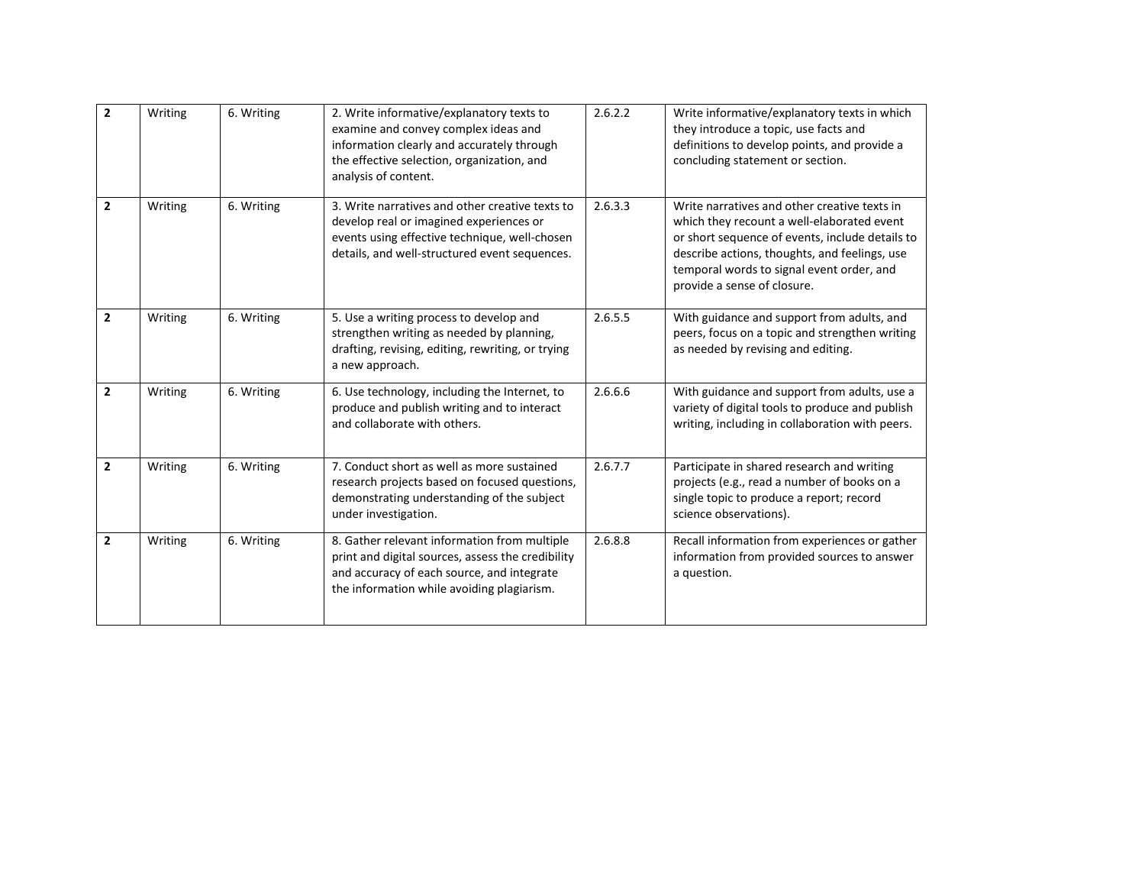| $\overline{2}$ | Writing | 6. Writing | 2. Write informative/explanatory texts to<br>examine and convey complex ideas and<br>information clearly and accurately through<br>the effective selection, organization, and<br>analysis of content. | 2.6.2.2 | Write informative/explanatory texts in which<br>they introduce a topic, use facts and<br>definitions to develop points, and provide a<br>concluding statement or section.                                                                                                  |
|----------------|---------|------------|-------------------------------------------------------------------------------------------------------------------------------------------------------------------------------------------------------|---------|----------------------------------------------------------------------------------------------------------------------------------------------------------------------------------------------------------------------------------------------------------------------------|
| $\overline{2}$ | Writing | 6. Writing | 3. Write narratives and other creative texts to<br>develop real or imagined experiences or<br>events using effective technique, well-chosen<br>details, and well-structured event sequences.          | 2.6.3.3 | Write narratives and other creative texts in<br>which they recount a well-elaborated event<br>or short sequence of events, include details to<br>describe actions, thoughts, and feelings, use<br>temporal words to signal event order, and<br>provide a sense of closure. |
| $\overline{2}$ | Writing | 6. Writing | 5. Use a writing process to develop and<br>strengthen writing as needed by planning,<br>drafting, revising, editing, rewriting, or trying<br>a new approach.                                          | 2.6.5.5 | With guidance and support from adults, and<br>peers, focus on a topic and strengthen writing<br>as needed by revising and editing.                                                                                                                                         |
| $\overline{2}$ | Writing | 6. Writing | 6. Use technology, including the Internet, to<br>produce and publish writing and to interact<br>and collaborate with others.                                                                          | 2.6.6.6 | With guidance and support from adults, use a<br>variety of digital tools to produce and publish<br>writing, including in collaboration with peers.                                                                                                                         |
| $\overline{2}$ | Writing | 6. Writing | 7. Conduct short as well as more sustained<br>research projects based on focused questions,<br>demonstrating understanding of the subject<br>under investigation.                                     | 2.6.7.7 | Participate in shared research and writing<br>projects (e.g., read a number of books on a<br>single topic to produce a report; record<br>science observations).                                                                                                            |
| $\overline{2}$ | Writing | 6. Writing | 8. Gather relevant information from multiple<br>print and digital sources, assess the credibility<br>and accuracy of each source, and integrate<br>the information while avoiding plagiarism.         | 2.6.8.8 | Recall information from experiences or gather<br>information from provided sources to answer<br>a question.                                                                                                                                                                |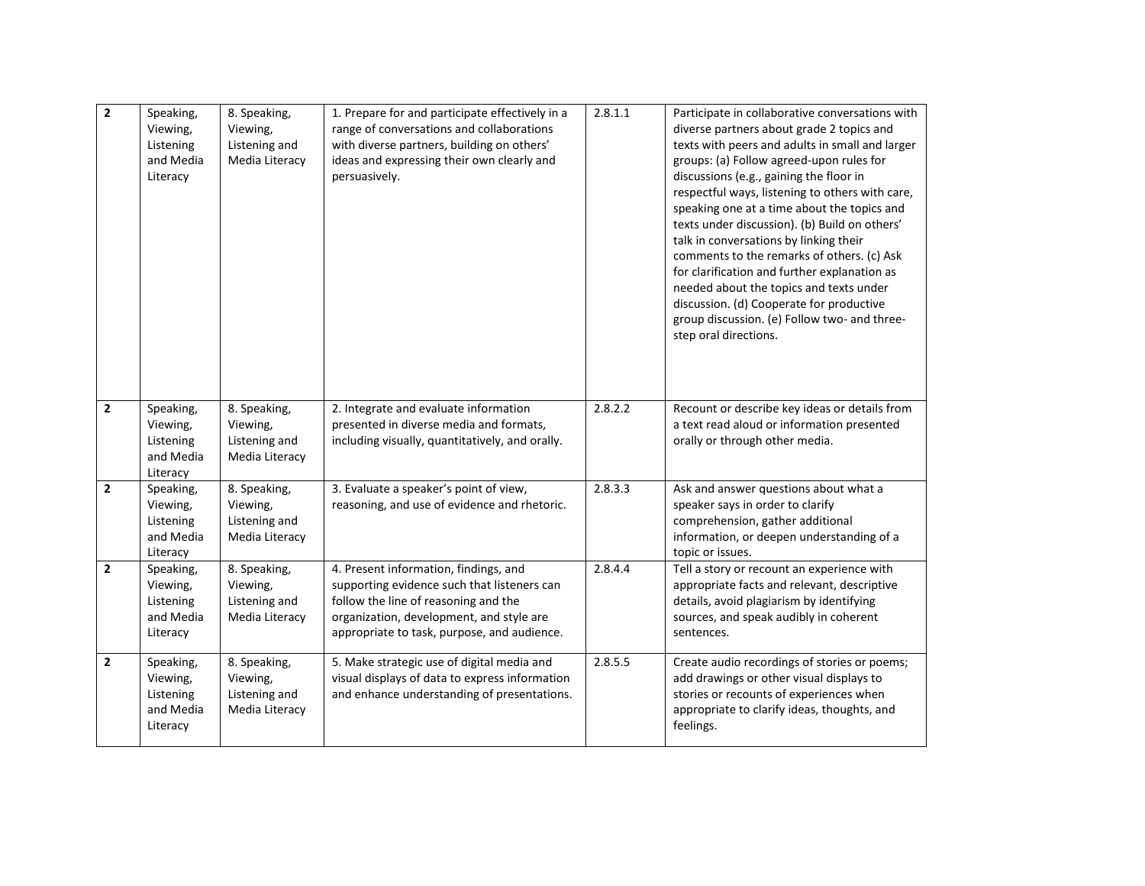| $\mathbf{2}$   | Speaking,<br>Viewing,<br>Listening<br>and Media<br>Literacy | 8. Speaking,<br>Viewing,<br>Listening and<br>Media Literacy | 1. Prepare for and participate effectively in a<br>range of conversations and collaborations<br>with diverse partners, building on others'<br>ideas and expressing their own clearly and<br>persuasively.               | 2.8.1.1 | Participate in collaborative conversations with<br>diverse partners about grade 2 topics and<br>texts with peers and adults in small and larger<br>groups: (a) Follow agreed-upon rules for<br>discussions (e.g., gaining the floor in<br>respectful ways, listening to others with care,<br>speaking one at a time about the topics and<br>texts under discussion). (b) Build on others'<br>talk in conversations by linking their<br>comments to the remarks of others. (c) Ask<br>for clarification and further explanation as<br>needed about the topics and texts under<br>discussion. (d) Cooperate for productive<br>group discussion. (e) Follow two- and three-<br>step oral directions. |
|----------------|-------------------------------------------------------------|-------------------------------------------------------------|-------------------------------------------------------------------------------------------------------------------------------------------------------------------------------------------------------------------------|---------|---------------------------------------------------------------------------------------------------------------------------------------------------------------------------------------------------------------------------------------------------------------------------------------------------------------------------------------------------------------------------------------------------------------------------------------------------------------------------------------------------------------------------------------------------------------------------------------------------------------------------------------------------------------------------------------------------|
| $\mathbf{2}$   | Speaking,<br>Viewing,<br>Listening<br>and Media<br>Literacy | 8. Speaking,<br>Viewing,<br>Listening and<br>Media Literacy | 2. Integrate and evaluate information<br>presented in diverse media and formats,<br>including visually, quantitatively, and orally.                                                                                     | 2.8.2.2 | Recount or describe key ideas or details from<br>a text read aloud or information presented<br>orally or through other media.                                                                                                                                                                                                                                                                                                                                                                                                                                                                                                                                                                     |
| $\overline{2}$ | Speaking,<br>Viewing,<br>Listening<br>and Media<br>Literacy | 8. Speaking,<br>Viewing,<br>Listening and<br>Media Literacy | 3. Evaluate a speaker's point of view,<br>reasoning, and use of evidence and rhetoric.                                                                                                                                  | 2.8.3.3 | Ask and answer questions about what a<br>speaker says in order to clarify<br>comprehension, gather additional<br>information, or deepen understanding of a<br>topic or issues.                                                                                                                                                                                                                                                                                                                                                                                                                                                                                                                    |
| 2              | Speaking,<br>Viewing,<br>Listening<br>and Media<br>Literacy | 8. Speaking,<br>Viewing,<br>Listening and<br>Media Literacy | 4. Present information, findings, and<br>supporting evidence such that listeners can<br>follow the line of reasoning and the<br>organization, development, and style are<br>appropriate to task, purpose, and audience. | 2.8.4.4 | Tell a story or recount an experience with<br>appropriate facts and relevant, descriptive<br>details, avoid plagiarism by identifying<br>sources, and speak audibly in coherent<br>sentences.                                                                                                                                                                                                                                                                                                                                                                                                                                                                                                     |
| $\overline{2}$ | Speaking,<br>Viewing,<br>Listening<br>and Media<br>Literacy | 8. Speaking,<br>Viewing,<br>Listening and<br>Media Literacy | 5. Make strategic use of digital media and<br>visual displays of data to express information<br>and enhance understanding of presentations.                                                                             | 2.8.5.5 | Create audio recordings of stories or poems;<br>add drawings or other visual displays to<br>stories or recounts of experiences when<br>appropriate to clarify ideas, thoughts, and<br>feelings.                                                                                                                                                                                                                                                                                                                                                                                                                                                                                                   |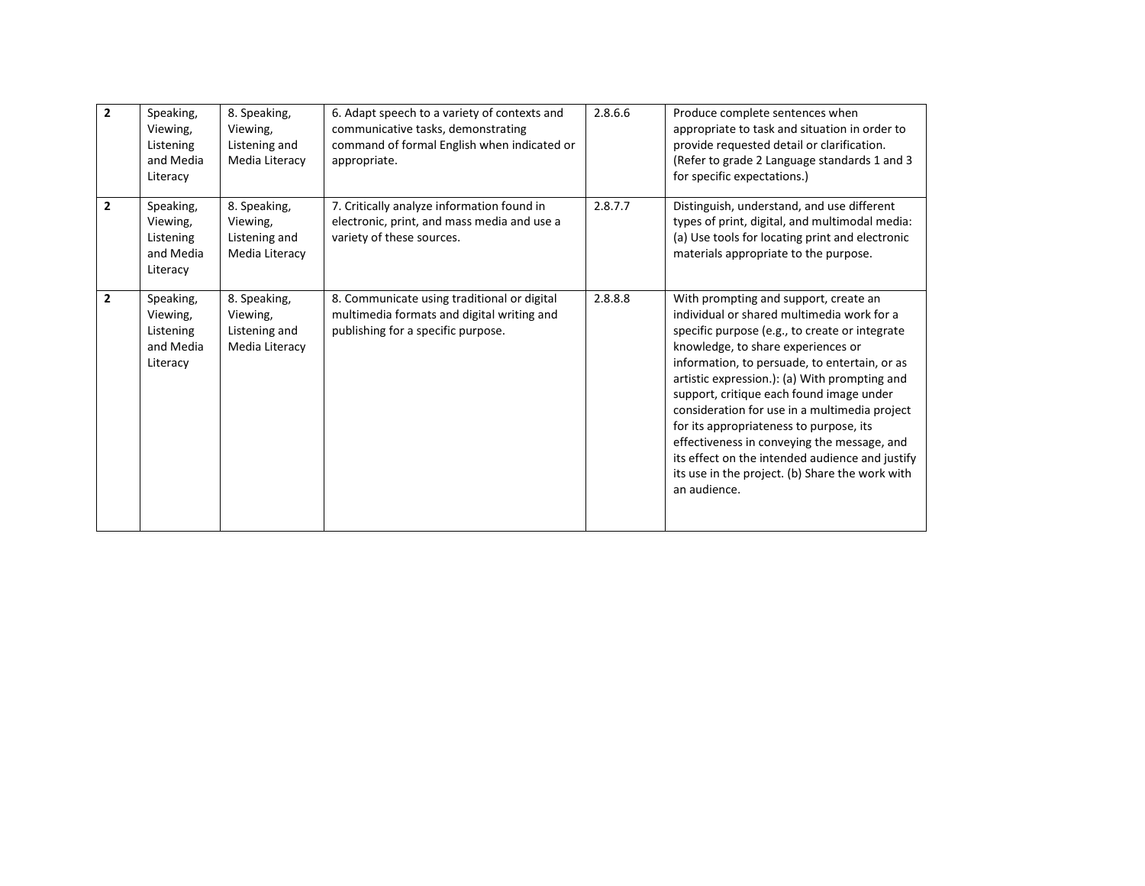| $\overline{2}$ | Speaking,<br>Viewing,<br>Listening<br>and Media<br>Literacy | 8. Speaking,<br>Viewing,<br>Listening and<br>Media Literacy | 6. Adapt speech to a variety of contexts and<br>communicative tasks, demonstrating<br>command of formal English when indicated or<br>appropriate. | 2.8.6.6 | Produce complete sentences when<br>appropriate to task and situation in order to<br>provide requested detail or clarification.<br>(Refer to grade 2 Language standards 1 and 3<br>for specific expectations.)                                                                                                                                                                                                                                                                                                                                                                              |
|----------------|-------------------------------------------------------------|-------------------------------------------------------------|---------------------------------------------------------------------------------------------------------------------------------------------------|---------|--------------------------------------------------------------------------------------------------------------------------------------------------------------------------------------------------------------------------------------------------------------------------------------------------------------------------------------------------------------------------------------------------------------------------------------------------------------------------------------------------------------------------------------------------------------------------------------------|
| $\overline{2}$ | Speaking,<br>Viewing,<br>Listening<br>and Media<br>Literacy | 8. Speaking,<br>Viewing,<br>Listening and<br>Media Literacy | 7. Critically analyze information found in<br>electronic, print, and mass media and use a<br>variety of these sources.                            | 2.8.7.7 | Distinguish, understand, and use different<br>types of print, digital, and multimodal media:<br>(a) Use tools for locating print and electronic<br>materials appropriate to the purpose.                                                                                                                                                                                                                                                                                                                                                                                                   |
| $\mathbf{2}$   | Speaking,<br>Viewing,<br>Listening<br>and Media<br>Literacy | 8. Speaking,<br>Viewing,<br>Listening and<br>Media Literacy | 8. Communicate using traditional or digital<br>multimedia formats and digital writing and<br>publishing for a specific purpose.                   | 2.8.8.8 | With prompting and support, create an<br>individual or shared multimedia work for a<br>specific purpose (e.g., to create or integrate<br>knowledge, to share experiences or<br>information, to persuade, to entertain, or as<br>artistic expression.): (a) With prompting and<br>support, critique each found image under<br>consideration for use in a multimedia project<br>for its appropriateness to purpose, its<br>effectiveness in conveying the message, and<br>its effect on the intended audience and justify<br>its use in the project. (b) Share the work with<br>an audience. |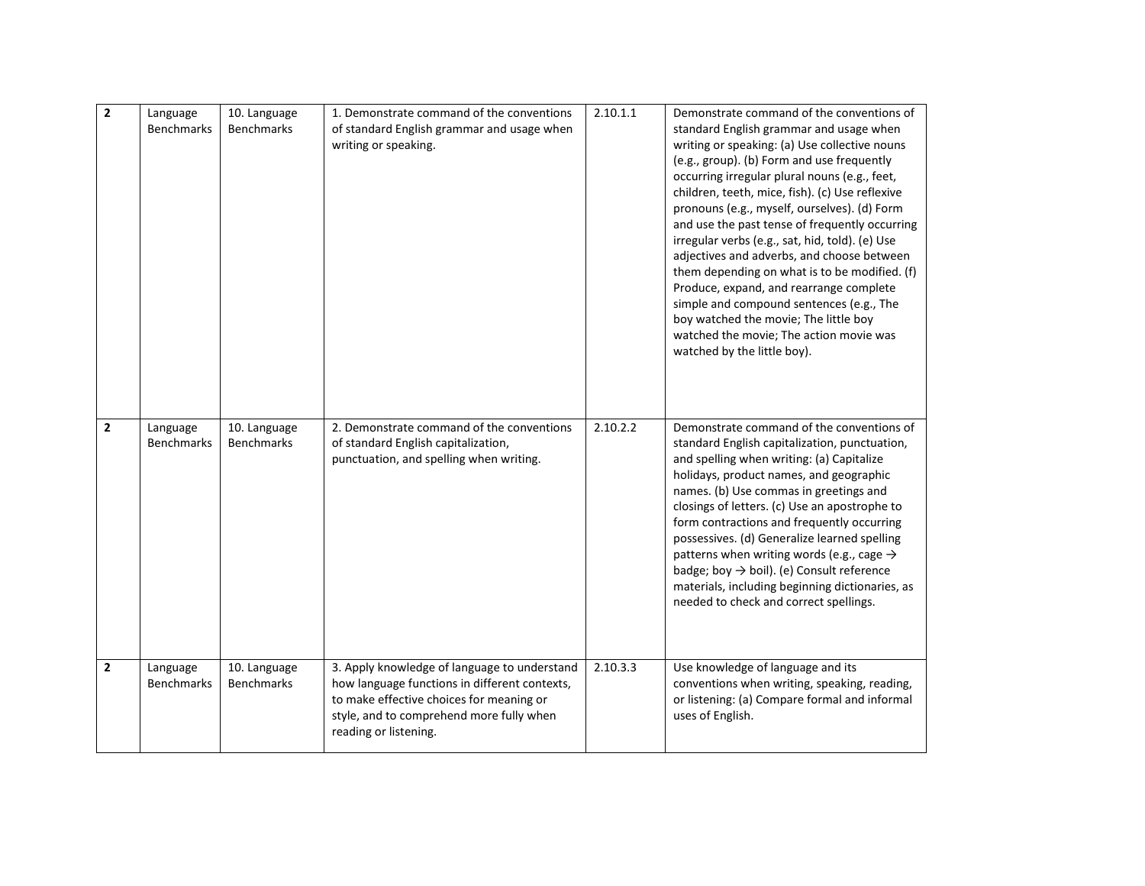| $\mathbf 2$    | Language<br><b>Benchmarks</b> | 10. Language<br><b>Benchmarks</b> | 1. Demonstrate command of the conventions<br>of standard English grammar and usage when<br>writing or speaking.                                                                                                | 2.10.1.1 | Demonstrate command of the conventions of<br>standard English grammar and usage when<br>writing or speaking: (a) Use collective nouns<br>(e.g., group). (b) Form and use frequently<br>occurring irregular plural nouns (e.g., feet,<br>children, teeth, mice, fish). (c) Use reflexive<br>pronouns (e.g., myself, ourselves). (d) Form<br>and use the past tense of frequently occurring<br>irregular verbs (e.g., sat, hid, told). (e) Use<br>adjectives and adverbs, and choose between<br>them depending on what is to be modified. (f)<br>Produce, expand, and rearrange complete<br>simple and compound sentences (e.g., The<br>boy watched the movie; The little boy<br>watched the movie; The action movie was<br>watched by the little boy). |
|----------------|-------------------------------|-----------------------------------|----------------------------------------------------------------------------------------------------------------------------------------------------------------------------------------------------------------|----------|-------------------------------------------------------------------------------------------------------------------------------------------------------------------------------------------------------------------------------------------------------------------------------------------------------------------------------------------------------------------------------------------------------------------------------------------------------------------------------------------------------------------------------------------------------------------------------------------------------------------------------------------------------------------------------------------------------------------------------------------------------|
| $\overline{2}$ | Language<br><b>Benchmarks</b> | 10. Language<br><b>Benchmarks</b> | 2. Demonstrate command of the conventions<br>of standard English capitalization,<br>punctuation, and spelling when writing.                                                                                    | 2.10.2.2 | Demonstrate command of the conventions of<br>standard English capitalization, punctuation,<br>and spelling when writing: (a) Capitalize<br>holidays, product names, and geographic<br>names. (b) Use commas in greetings and<br>closings of letters. (c) Use an apostrophe to<br>form contractions and frequently occurring<br>possessives. (d) Generalize learned spelling<br>patterns when writing words (e.g., cage $\rightarrow$<br>badge; boy $\rightarrow$ boil). (e) Consult reference<br>materials, including beginning dictionaries, as<br>needed to check and correct spellings.                                                                                                                                                            |
| $\overline{2}$ | Language<br><b>Benchmarks</b> | 10. Language<br><b>Benchmarks</b> | 3. Apply knowledge of language to understand<br>how language functions in different contexts,<br>to make effective choices for meaning or<br>style, and to comprehend more fully when<br>reading or listening. | 2.10.3.3 | Use knowledge of language and its<br>conventions when writing, speaking, reading,<br>or listening: (a) Compare formal and informal<br>uses of English.                                                                                                                                                                                                                                                                                                                                                                                                                                                                                                                                                                                                |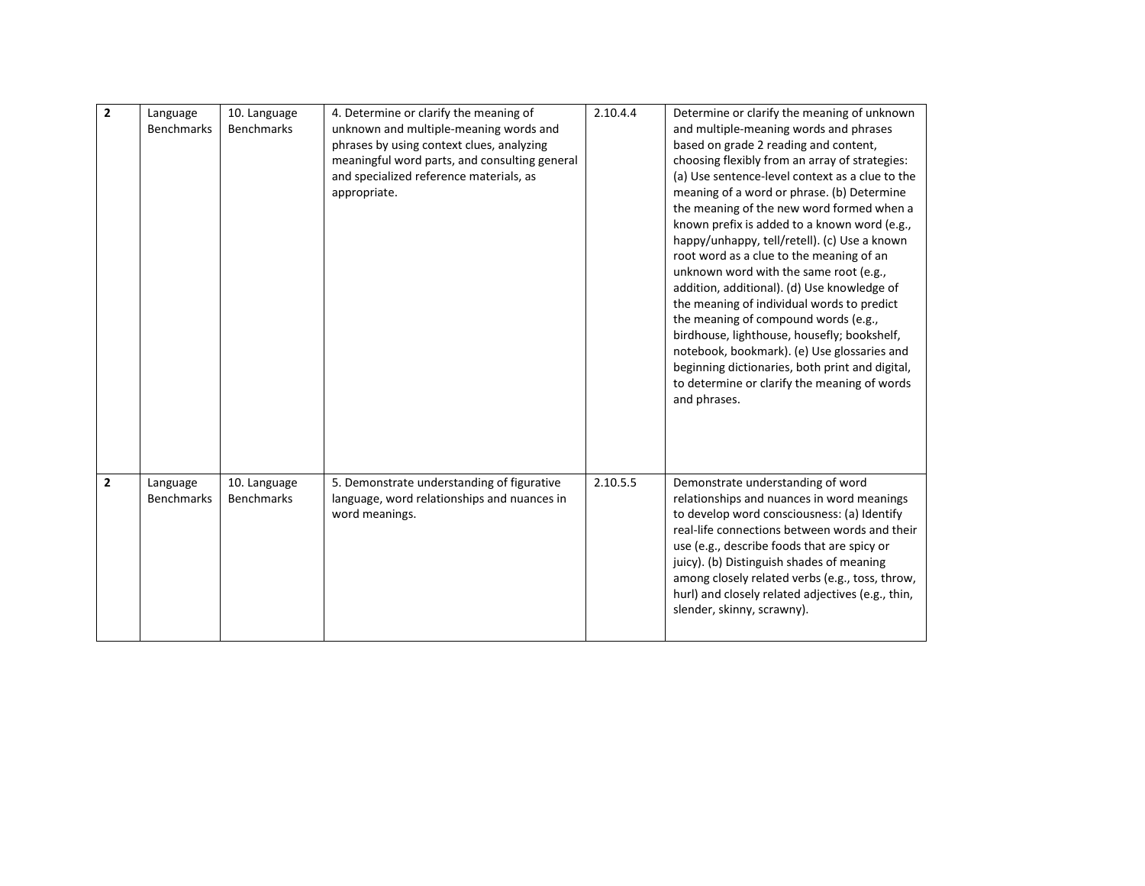| $\overline{2}$ | Language<br><b>Benchmarks</b> | 10. Language<br><b>Benchmarks</b> | 4. Determine or clarify the meaning of<br>unknown and multiple-meaning words and<br>phrases by using context clues, analyzing<br>meaningful word parts, and consulting general<br>and specialized reference materials, as<br>appropriate. | 2.10.4.4 | Determine or clarify the meaning of unknown<br>and multiple-meaning words and phrases<br>based on grade 2 reading and content,<br>choosing flexibly from an array of strategies:<br>(a) Use sentence-level context as a clue to the<br>meaning of a word or phrase. (b) Determine<br>the meaning of the new word formed when a<br>known prefix is added to a known word (e.g.,<br>happy/unhappy, tell/retell). (c) Use a known<br>root word as a clue to the meaning of an<br>unknown word with the same root (e.g.,<br>addition, additional). (d) Use knowledge of<br>the meaning of individual words to predict<br>the meaning of compound words (e.g.,<br>birdhouse, lighthouse, housefly; bookshelf,<br>notebook, bookmark). (e) Use glossaries and<br>beginning dictionaries, both print and digital,<br>to determine or clarify the meaning of words<br>and phrases. |
|----------------|-------------------------------|-----------------------------------|-------------------------------------------------------------------------------------------------------------------------------------------------------------------------------------------------------------------------------------------|----------|----------------------------------------------------------------------------------------------------------------------------------------------------------------------------------------------------------------------------------------------------------------------------------------------------------------------------------------------------------------------------------------------------------------------------------------------------------------------------------------------------------------------------------------------------------------------------------------------------------------------------------------------------------------------------------------------------------------------------------------------------------------------------------------------------------------------------------------------------------------------------|
| $\overline{2}$ | Language<br><b>Benchmarks</b> | 10. Language<br><b>Benchmarks</b> | 5. Demonstrate understanding of figurative<br>language, word relationships and nuances in<br>word meanings.                                                                                                                               | 2.10.5.5 | Demonstrate understanding of word<br>relationships and nuances in word meanings<br>to develop word consciousness: (a) Identify<br>real-life connections between words and their<br>use (e.g., describe foods that are spicy or<br>juicy). (b) Distinguish shades of meaning<br>among closely related verbs (e.g., toss, throw,<br>hurl) and closely related adjectives (e.g., thin,<br>slender, skinny, scrawny).                                                                                                                                                                                                                                                                                                                                                                                                                                                          |